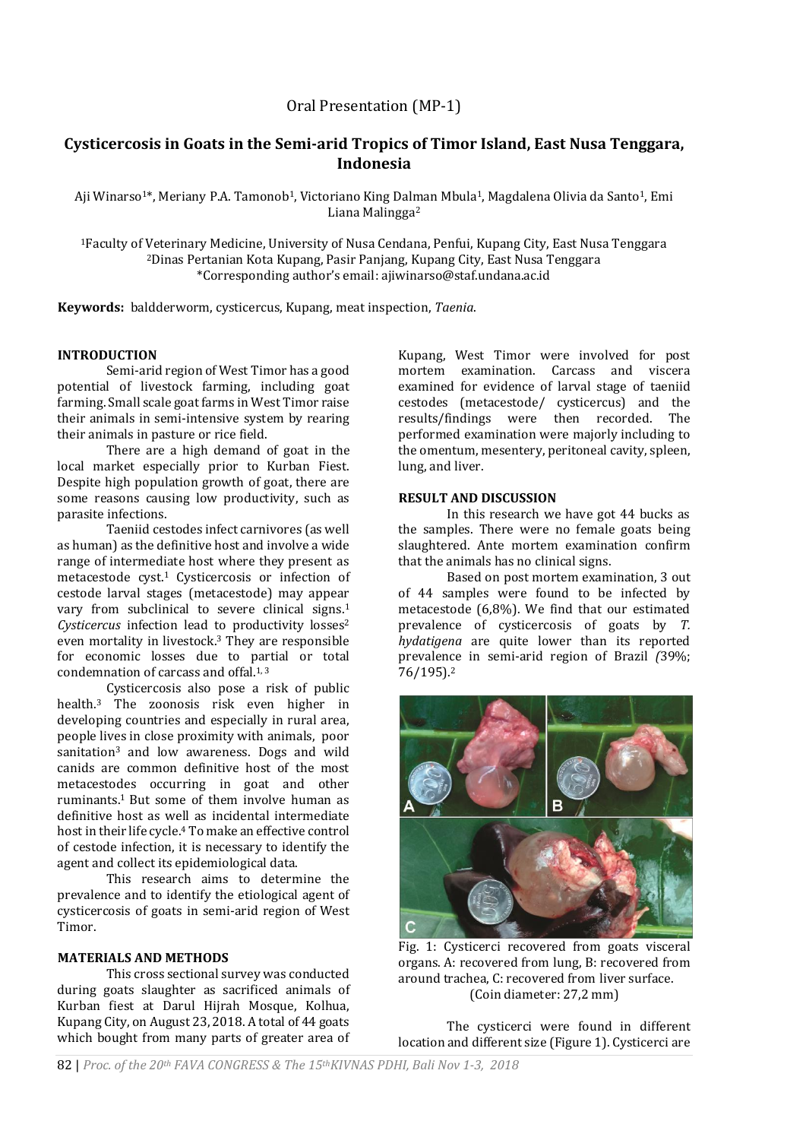# Oral Presentation (MP-1)

# **Cysticercosis in Goats in the Semi-arid Tropics of Timor Island, East Nusa Tenggara, Indonesia**

Aji Winarso<sup>1\*</sup>, Meriany P.A. Tamonob<sup>1</sup>, Victoriano King Dalman Mbula<sup>1</sup>, Magdalena Olivia da Santo<sup>1</sup>, Emi Liana Malingga<sup>2</sup>

<sup>1</sup>Faculty of Veterinary Medicine, University of Nusa Cendana, Penfui, Kupang City, East Nusa Tenggara <sup>2</sup>Dinas Pertanian Kota Kupang, Pasir Panjang, Kupang City, East Nusa Tenggara \*Corresponding author's email: ajiwinarso@staf.undana.ac.id

**Keywords:** baldderworm, cysticercus, Kupang, meat inspection, *Taenia*.

### **INTRODUCTION**

Semi-arid region of West Timor has a good potential of livestock farming, including goat farming. Small scale goat farms in West Timor raise their animals in semi-intensive system by rearing their animals in pasture or rice field.

There are a high demand of goat in the local market especially prior to Kurban Fiest. Despite high population growth of goat, there are some reasons causing low productivity, such as parasite infections.

Taeniid cestodes infect carnivores (as well as human) as the definitive host and involve a wide range of intermediate host where they present as metacestode cyst.<sup>1</sup> Cysticercosis or infection of cestode larval stages (metacestode) may appear vary from subclinical to severe clinical signs.<sup>1</sup> *Cysticercus* infection lead to productivity losses<sup>2</sup> even mortality in livestock.<sup>3</sup> They are responsible for economic losses due to partial or total condemnation of carcass and offal.<sup>1,3</sup>

Cysticercosis also pose a risk of public health.<sup>3</sup> The zoonosis risk even higher in developing countries and especially in rural area, people lives in close proximity with animals, poor sanitation<sup>3</sup> and low awareness. Dogs and wild canids are common definitive host of the most metacestodes occurring in goat and other ruminants.1 But some of them involve human as definitive host as well as incidental intermediate host in their life cycle.<sup>4</sup> To make an effective control of cestode infection, it is necessary to identify the agent and collect its epidemiological data.

This research aims to determine the prevalence and to identify the etiological agent of cysticercosis of goats in semi-arid region of West Timor.

## **MATERIALS AND METHODS**

This cross sectional survey was conducted during goats slaughter as sacrificed animals of Kurban fiest at Darul Hijrah Mosque, Kolhua, Kupang City, on August 23, 2018. A total of 44 goats which bought from many parts of greater area of

Kupang, West Timor were involved for post mortem examination. Carcass and viscera examined for evidence of larval stage of taeniid cestodes (metacestode/ cysticercus) and the results/findings were then recorded. The performed examination were majorly including to the omentum, mesentery, peritoneal cavity, spleen, lung, and liver.

#### **RESULT AND DISCUSSION**

In this research we have got 44 bucks as the samples. There were no female goats being slaughtered. Ante mortem examination confirm that the animals has no clinical signs.

Based on post mortem examination, 3 out of 44 samples were found to be infected by metacestode (6,8%). We find that our estimated prevalence of cysticercosis of goats by *T. hydatigena* are quite lower than its reported prevalence in semi-arid region of Brazil *(*39%; 76/195).<sup>2</sup>



Fig. 1: Cysticerci recovered from goats visceral organs. A: recovered from lung, B: recovered from around trachea, C: recovered from liver surface. (Coin diameter: 27,2 mm)

The cysticerci were found in different location and different size (Figure 1). Cysticerci are